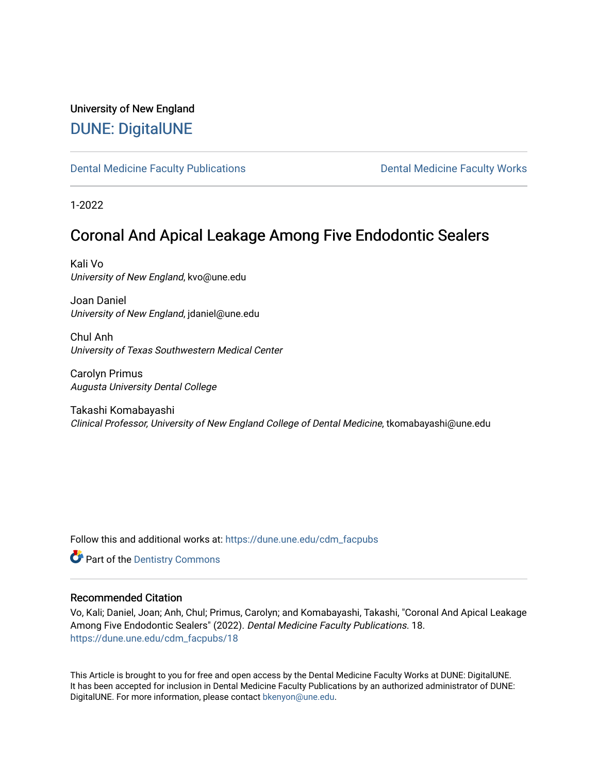# University of New England [DUNE: DigitalUNE](https://dune.une.edu/)

[Dental Medicine Faculty Publications](https://dune.une.edu/cdm_facpubs) **Dental Medicine Faculty Works** Dental Medicine Faculty Works

1-2022

# Coronal And Apical Leakage Among Five Endodontic Sealers

Kali Vo University of New England, kvo@une.edu

Joan Daniel University of New England, jdaniel@une.edu

Chul Anh University of Texas Southwestern Medical Center

Carolyn Primus Augusta University Dental College

Takashi Komabayashi Clinical Professor, University of New England College of Dental Medicine, tkomabayashi@une.edu

Follow this and additional works at: [https://dune.une.edu/cdm\\_facpubs](https://dune.une.edu/cdm_facpubs?utm_source=dune.une.edu%2Fcdm_facpubs%2F18&utm_medium=PDF&utm_campaign=PDFCoverPages) 

**Part of the Dentistry Commons** 

# Recommended Citation

Vo, Kali; Daniel, Joan; Anh, Chul; Primus, Carolyn; and Komabayashi, Takashi, "Coronal And Apical Leakage Among Five Endodontic Sealers" (2022). Dental Medicine Faculty Publications. 18. [https://dune.une.edu/cdm\\_facpubs/18](https://dune.une.edu/cdm_facpubs/18?utm_source=dune.une.edu%2Fcdm_facpubs%2F18&utm_medium=PDF&utm_campaign=PDFCoverPages) 

This Article is brought to you for free and open access by the Dental Medicine Faculty Works at DUNE: DigitalUNE. It has been accepted for inclusion in Dental Medicine Faculty Publications by an authorized administrator of DUNE: DigitalUNE. For more information, please contact [bkenyon@une.edu.](mailto:bkenyon@une.edu)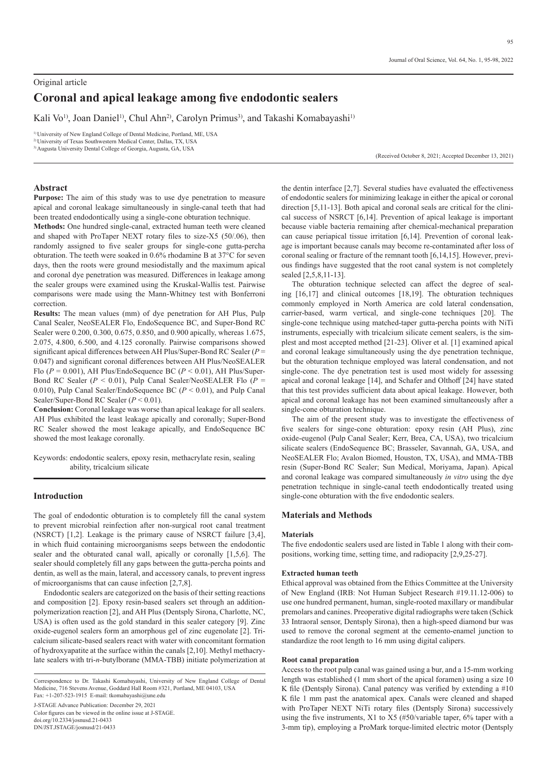# Original article **Coronal and apical leakage among five endodontic sealers**

Kali Vo<sup>1)</sup>, Joan Daniel<sup>1)</sup>, Chul Ahn<sup>2)</sup>, Carolyn Primus<sup>3</sup>), and Takashi Komabayashi<sup>1)</sup>

1) University of New England College of Dental Medicine, Portland, ME, USA

2) University of Texas Southwestern Medical Center, Dallas, TX, USA 3) Augusta University Dental College of Georgia, Augusta, GA, USA

(Received October 8, 2021; Accepted December 13, 2021)

# **Abstract**

**Purpose:** The aim of this study was to use dye penetration to measure apical and coronal leakage simultaneously in single-canal teeth that had been treated endodontically using a single-cone obturation technique.

**Methods:** One hundred single-canal, extracted human teeth were cleaned and shaped with ProTaper NEXT rotary files to size-X5 (50/.06), then randomly assigned to five sealer groups for single-cone gutta-percha obturation. The teeth were soaked in 0.6% rhodamine B at 37°C for seven days, then the roots were ground mesiodistally and the maximum apical and coronal dye penetration was measured. Differences in leakage among the sealer groups were examined using the Kruskal-Wallis test. Pairwise comparisons were made using the Mann-Whitney test with Bonferroni correction.

**Results:** The mean values (mm) of dye penetration for AH Plus, Pulp Canal Sealer, NeoSEALER Flo, EndoSequence BC, and Super-Bond RC Sealer were 0.200, 0.300, 0.675, 0.850, and 0.900 apically, whereas 1.675, 2.075, 4.800, 6.500, and 4.125 coronally. Pairwise comparisons showed significant apical differences between AH Plus/Super-Bond RC Sealer (*P* = 0.047) and significant coronal differences between AH Plus/NeoSEALER Flo  $(P = 0.001)$ , AH Plus/EndoSequence BC  $(P < 0.01)$ , AH Plus/Super-Bond RC Sealer (*P* < 0.01), Pulp Canal Sealer/NeoSEALER Flo (*P* = 0.010), Pulp Canal Sealer/EndoSequence BC (*P* < 0.01), and Pulp Canal Sealer/Super-Bond RC Sealer ( $P < 0.01$ ).

**Conclusion:** Coronal leakage was worse than apical leakage for all sealers. AH Plus exhibited the least leakage apically and coronally; Super-Bond RC Sealer showed the most leakage apically, and EndoSequence BC showed the most leakage coronally.

Keywords: endodontic sealers, epoxy resin, methacrylate resin, sealing ability, tricalcium silicate

# **Introduction**

The goal of endodontic obturation is to completely fill the canal system to prevent microbial reinfection after non-surgical root canal treatment (NSRCT) [1,2]. Leakage is the primary cause of NSRCT failure [3,4], in which fluid containing microorganisms seeps between the endodontic sealer and the obturated canal wall, apically or coronally [1,5,6]. The sealer should completely fill any gaps between the gutta-percha points and dentin, as well as the main, lateral, and accessory canals, to prevent ingress of microorganisms that can cause infection [2,7,8].

Endodontic sealers are categorized on the basis of their setting reactions and composition [2]. Epoxy resin-based sealers set through an additionpolymerization reaction [2], and AH Plus (Dentsply Sirona, Charlotte, NC, USA) is often used as the gold standard in this sealer category [9]. Zinc oxide-eugenol sealers form an amorphous gel of zinc eugenolate [2]. Tricalcium silicate-based sealers react with water with concomitant formation of hydroxyapatite at the surface within the canals [2,10]. Methyl methacrylate sealers with tri-*n*-butylborane (MMA-TBB) initiate polymerization at

J-STAGE Advance Publication: December 29, 2021 Color figures can be viewed in the online issue at J-STAGE. doi.org/10.2334/josnusd.21-0433 DN/JST.JSTAGE/josnusd/21-0433

the dentin interface [2,7]. Several studies have evaluated the effectiveness of endodontic sealers for minimizing leakage in either the apical or coronal direction [5,11-13]. Both apical and coronal seals are critical for the clinical success of NSRCT [6,14]. Prevention of apical leakage is important because viable bacteria remaining after chemical-mechanical preparation can cause periapical tissue irritation [6,14]. Prevention of coronal leakage is important because canals may become re-contaminated after loss of coronal sealing or fracture of the remnant tooth [6,14,15]. However, previous findings have suggested that the root canal system is not completely sealed [2,5,8,11-13].

The obturation technique selected can affect the degree of sealing [16,17] and clinical outcomes [18,19]. The obturation techniques commonly employed in North America are cold lateral condensation, carrier-based, warm vertical, and single-cone techniques [20]. The single-cone technique using matched-taper gutta-percha points with NiTi instruments, especially with tricalcium silicate cement sealers, is the simplest and most accepted method [21-23]. Oliver et al. [1] examined apical and coronal leakage simultaneously using the dye penetration technique, but the obturation technique employed was lateral condensation, and not single-cone. The dye penetration test is used most widely for assessing apical and coronal leakage [14], and Schafer and Olthoff [24] have stated that this test provides sufficient data about apical leakage. However, both apical and coronal leakage has not been examined simultaneously after a single-cone obturation technique.

The aim of the present study was to investigate the effectiveness of five sealers for singe-cone obturation: epoxy resin (AH Plus), zinc oxide-eugenol (Pulp Canal Sealer; Kerr, Brea, CA, USA), two tricalcium silicate sealers (EndoSequence BC; Brasseler, Savannah, GA, USA, and NeoSEALER Flo; Avalon Biomed, Houston, TX, USA), and MMA-TBB resin (Super-Bond RC Sealer; Sun Medical, Moriyama, Japan). Apical and coronal leakage was compared simultaneously *in vitro* using the dye penetration technique in single-canal teeth endodontically treated using single-cone obturation with the five endodontic sealers.

# **Materials and Methods**

#### **Materials**

The five endodontic sealers used are listed in Table 1 along with their compositions, working time, setting time, and radiopacity [2,9,25-27].

#### **Extracted human teeth**

Ethical approval was obtained from the Ethics Committee at the University of New England (IRB: Not Human Subject Research #19.11.12-006) to use one hundred permanent, human, single-rooted maxillary or mandibular premolars and canines. Preoperative digital radiographs were taken (Schick 33 Intraoral sensor, Dentsply Sirona), then a high-speed diamond bur was used to remove the coronal segment at the cemento-enamel junction to standardize the root length to 16 mm using digital calipers.

#### **Root canal preparation**

Access to the root pulp canal was gained using a bur, and a 15-mm working length was established (1 mm short of the apical foramen) using a size 10 K file (Dentsply Sirona). Canal patency was verified by extending a #10 K file 1 mm past the anatomical apex. Canals were cleaned and shaped with ProTaper NEXT NiTi rotary files (Dentsply Sirona) successively using the five instruments, X1 to X5 (#50/variable taper, 6% taper with a 3-mm tip), employing a ProMark torque-limited electric motor (Dentsply

Correspondence to Dr. Takashi Komabayashi, University of New England College of Dental Medicine, 716 Stevens Avenue, Goddard Hall Room #321, Portland, ME 04103, USA Fax: +1-207-523-1915 E-mail: tkomabayashi@une.edu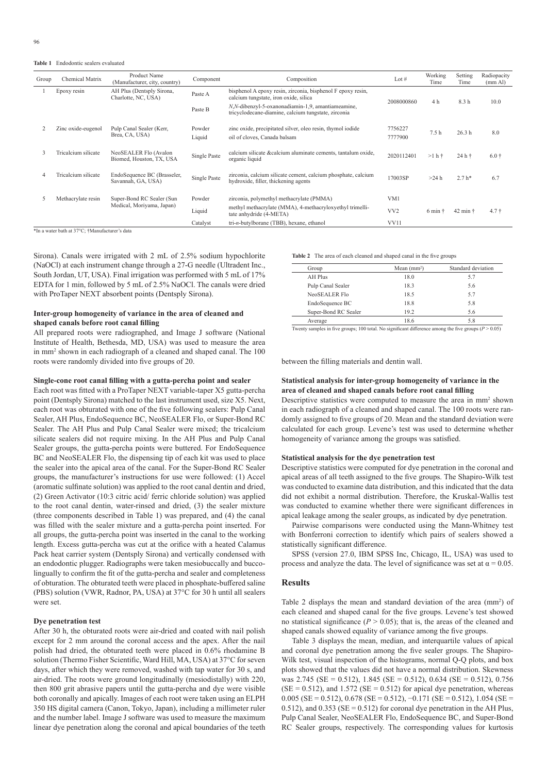**Table 1**   Endodontic sealers evaluated

| Group | Chemical Matrix     | Product Name<br>(Manufacturer, city, country)          | Component        | Composition                                                                                              | Lot $#$            | Working<br>Time  | Setting<br>Time            | Radiopacity<br>(mm Al) |
|-------|---------------------|--------------------------------------------------------|------------------|----------------------------------------------------------------------------------------------------------|--------------------|------------------|----------------------------|------------------------|
|       | Epoxy resin         | AH Plus (Dentsply Sirona,<br>Charlotte, NC, USA)       | Paste A          | bisphenol A epoxy resin, zirconia, bisphenol F epoxy resin,<br>calcium tungstate, iron oxide, silica     | 2008000860         | 4 h              | 8.3 h                      | 10.0                   |
|       |                     |                                                        | Paste B          | N,N-dibenzyl-5-oxanonadiamin-1,9, amantiameamine,<br>tricyclodecane-diamine, calcium tungstate, zirconia |                    |                  |                            |                        |
|       | Zinc oxide-eugenol  | Pulp Canal Sealer (Kerr,<br>Brea, CA, USA)             | Powder<br>Liquid | zinc oxide, precipitated silver, oleo resin, thymol iodide<br>oil of cloves, Canada balsam               | 7756227<br>7777900 | 7.5 <sub>h</sub> | 26.3 <sub>h</sub>          | 8.0                    |
|       | Tricalcium silicate | NeoSEALER Flo (Avalon<br>Biomed, Houston, TX, USA      | Single Paste     | calcium silicate & calcium aluminate cements, tantalum oxide,<br>organic liquid                          | 2020112401         | $>1 h$ †         | 24 h +                     | $6.0 +$                |
|       | Tricalcium silicate | EndoSequence BC (Brasseler,<br>Savannah, GA, USA)      | Single Paste     | zirconia, calcium silicate cement, calcium phosphate, calcium<br>hydroxide, filler, thickening agents    | 17003SP            | $>24$ h          | $2.7 h*$                   | 6.7                    |
|       | Methacrylate resin  | Super-Bond RC Sealer (Sun<br>Medical, Moriyama, Japan) | Powder           | zirconia, polymethyl methacrylate (PMMA)                                                                 | VM1                |                  |                            |                        |
|       |                     |                                                        | Liquid           | methyl methacrylate (MMA), 4-methacryloxyethyl trimelli-<br>tate anhydride (4-META)                      | VV <sub>2</sub>    | 6 min            | $42 \text{ min}$ $\dagger$ | $4.7 +$                |
|       |                     |                                                        | Catalyst         | $tri-n$ -butylborane (TBB), hexane, ethanol                                                              | VV11               |                  |                            |                        |

\*In a water bath at 37°C; †Manufacturer's data

Sirona). Canals were irrigated with 2 mL of 2.5% sodium hypochlorite (NaOCl) at each instrument change through a 27-G needle (Ultradent Inc., South Jordan, UT, USA). Final irrigation was performed with 5 mL of 17% EDTA for 1 min, followed by 5 mL of 2.5% NaOCl. The canals were dried with ProTaper NEXT absorbent points (Dentsply Sirona).

# **Inter-group homogeneity of variance in the area of cleaned and shaped canals before root canal filling**

All prepared roots were radiographed, and Image J software (National Institute of Health, Bethesda, MD, USA) was used to measure the area in mm<sup>2</sup> shown in each radiograph of a cleaned and shaped canal. The 100 roots were randomly divided into five groups of 20.

#### **Single-cone root canal filling with a gutta-percha point and sealer**

Each root was fitted with a ProTaper NEXT variable-taper X5 gutta-percha point (Dentsply Sirona) matched to the last instrument used, size X5. Next, each root was obturated with one of the five following sealers: Pulp Canal Sealer, AH Plus, EndoSequence BC, NeoSEALER Flo, or Super-Bond RC Sealer. The AH Plus and Pulp Canal Sealer were mixed; the tricalcium silicate sealers did not require mixing. In the AH Plus and Pulp Canal Sealer groups, the gutta-percha points were buttered. For EndoSequence BC and NeoSEALER Flo, the dispensing tip of each kit was used to place the sealer into the apical area of the canal. For the Super-Bond RC Sealer groups, the manufacturer's instructions for use were followed: (1) Accel (aromatic sulfinate solution) was applied to the root canal dentin and dried, (2) Green Activator (10:3 citric acid/ ferric chloride solution) was applied to the root canal dentin, water-rinsed and dried, (3) the sealer mixture (three components described in Table 1) was prepared, and (4) the canal was filled with the sealer mixture and a gutta-percha point inserted. For all groups, the gutta-percha point was inserted in the canal to the working length. Excess gutta-percha was cut at the orifice with a heated Calamus Pack heat carrier system (Dentsply Sirona) and vertically condensed with an endodontic plugger. Radiographs were taken mesiobuccally and buccolingually to confirm the fit of the gutta-percha and sealer and completeness of obturation. The obturated teeth were placed in phosphate-buffered saline (PBS) solution (VWR, Radnor, PA, USA) at 37°C for 30 h until all sealers were set.

#### **Dye penetration test**

After 30 h, the obturated roots were air-dried and coated with nail polish except for 2 mm around the coronal access and the apex. After the nail polish had dried, the obturated teeth were placed in 0.6% rhodamine B solution (Thermo Fisher Scientific, Ward Hill, MA, USA) at 37°C for seven days, after which they were removed, washed with tap water for 30 s, and air-dried. The roots were ground longitudinally (mesiodistally) with 220, then 800 grit abrasive papers until the gutta-percha and dye were visible both coronally and apically. Images of each root were taken using an ELPH 350 HS digital camera (Canon, Tokyo, Japan), including a millimeter ruler and the number label. Image J software was used to measure the maximum linear dye penetration along the coronal and apical boundaries of the teeth **Table 2** The area of each cleaned and shaped canal in the five groups

| Group                | Mean $(mm2)$ | Standard deviation |
|----------------------|--------------|--------------------|
| AH Plus              | 18.0         | 5.7                |
| Pulp Canal Sealer    | 18.3         | 5.6                |
| NeoSEALER Flo        | 18.5         | 5.7                |
| EndoSequence BC      | 18.8         | 5.8                |
| Super-Bond RC Sealer | 19.2         | 5.6                |
| Average              | 18.6         | 5.8                |

Twenty samples in five groups; 100 total. No significant difference among the five groups  $(P > 0.05)$ 

between the filling materials and dentin wall.

### **Statistical analysis for inter-group homogeneity of variance in the area of cleaned and shaped canals before root canal filling**

Descriptive statistics were computed to measure the area in mm<sup>2</sup> shown in each radiograph of a cleaned and shaped canal. The 100 roots were randomly assigned to five groups of 20. Mean and the standard deviation were calculated for each group. Levene's test was used to determine whether homogeneity of variance among the groups was satisfied.

#### **Statistical analysis for the dye penetration test**

Descriptive statistics were computed for dye penetration in the coronal and apical areas of all teeth assigned to the five groups. The Shapiro-Wilk test was conducted to examine data distribution, and this indicated that the data did not exhibit a normal distribution. Therefore, the Kruskal-Wallis test was conducted to examine whether there were significant differences in apical leakage among the sealer groups, as indicated by dye penetration.

Pairwise comparisons were conducted using the Mann-Whitney test with Bonferroni correction to identify which pairs of sealers showed a statistically significant difference.

SPSS (version 27.0, IBM SPSS Inc, Chicago, IL, USA) was used to process and analyze the data. The level of significance was set at  $\alpha = 0.05$ .

### **Results**

Table 2 displays the mean and standard deviation of the area (mm<sup>2</sup>) of each cleaned and shaped canal for the five groups. Levene's test showed no statistical significance  $(P > 0.05)$ ; that is, the areas of the cleaned and shaped canals showed equality of variance among the five groups.

Table 3 displays the mean, median, and interquartile values of apical and coronal dye penetration among the five sealer groups. The Shapiro-Wilk test, visual inspection of the histograms, normal Q-Q plots, and box plots showed that the values did not have a normal distribution. Skewness was 2.745 (SE = 0.512), 1.845 (SE = 0.512), 0.634 (SE = 0.512), 0.756  $(SE = 0.512)$ , and 1.572  $(SE = 0.512)$  for apical dye penetration, whereas  $0.005$  (SE = 0.512), 0.678 (SE = 0.512), -0.171 (SE = 0.512), 1.054 (SE = 0.512), and 0.353 ( $SE = 0.512$ ) for coronal dye penetration in the AH Plus, Pulp Canal Sealer, NeoSEALER Flo, EndoSequence BC, and Super-Bond RC Sealer groups, respectively. The corresponding values for kurtosis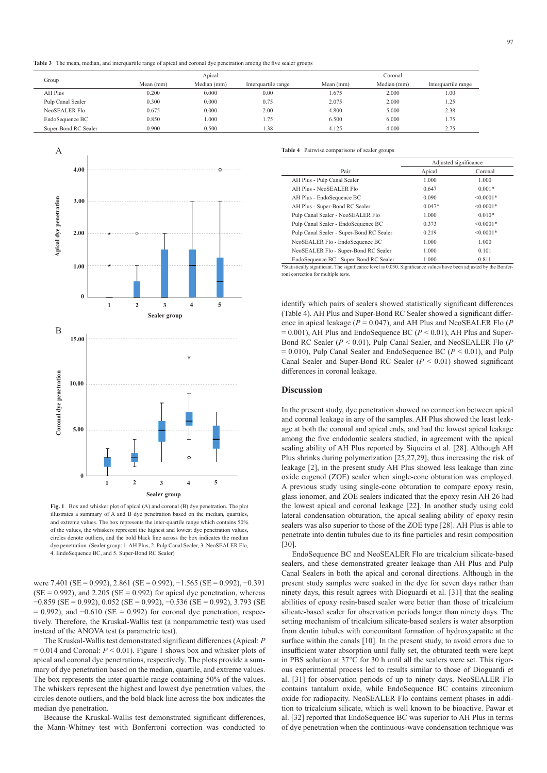**Table 3**   The mean, median, and interquartile range of apical and coronal dye penetration among the five sealer groups

|                      | Apical    |             |                     | Coronal   |             |                     |  |
|----------------------|-----------|-------------|---------------------|-----------|-------------|---------------------|--|
| Group                | Mean (mm) | Median (mm) | Interquartile range | Mean (mm) | Median (mm) | Interquartile range |  |
| AH Plus              | 0.200     | 0.000       | 0.00                | 1.675     | 2.000       | 1.00                |  |
| Pulp Canal Sealer    | 0.300     | 0.000       | 0.75                | 2.075     | 2.000       | 1.25                |  |
| NeoSEALER Flo        | 0.675     | 0.000       | 2.00                | 4.800     | 5.000       | 2.38                |  |
| EndoSequence BC      | 0.850     | 000.1       | 1.75                | 6.500     | 6.000       | 1.75                |  |
| Super-Bond RC Sealer | 0.900     | 0.500       | 1.38                | 4.125     | 4.000       | 2.75                |  |



Fig. 1 Box and whisker plot of apical (A) and coronal (B) dye penetration. The plot illustrates a summary of A and B dye penetration based on the median, quartiles, and extreme values. The box represents the inter-quartile range which contains 50% of the values, the whiskers represent the highest and lowest dye penetration values, circles denote outliers, and the bold black line across the box indicates the median dye penetration. (Sealer group: 1. AH Plus, 2. Pulp Canal Sealer, 3. NeoSEALER Flo, 4. EndoSequence BC, and 5. Super-Bond RC Sealer)

were 7.401 (SE = 0.992), 2.861 (SE = 0.992), −1.565 (SE = 0.992), −0.391  $(SE = 0.992)$ , and 2.205  $(SE = 0.992)$  for apical dye penetration, whereas −0.859 (SE = 0.992), 0.052 (SE = 0.992), −0.536 (SE = 0.992), 3.793 (SE  $= 0.992$ ), and  $-0.610$  (SE = 0.992) for coronal dye penetration, respectively. Therefore, the Kruskal-Wallis test (a nonparametric test) was used instead of the ANOVA test (a parametric test).

The Kruskal-Wallis test demonstrated significant differences (Apical: *P* = 0.014 and Coronal: *P* < 0.01). Figure 1 shows box and whisker plots of apical and coronal dye penetrations, respectively. The plots provide a summary of dye penetration based on the median, quartile, and extreme values. The box represents the inter-quartile range containing 50% of the values. The whiskers represent the highest and lowest dye penetration values, the circles denote outliers, and the bold black line across the box indicates the median dye penetration.

Because the Kruskal-Wallis test demonstrated significant differences, the Mann-Whitney test with Bonferroni correction was conducted to

**Table 4** Pairwise comparisons of sealer groups

|                                          | Adjusted significance |                |  |
|------------------------------------------|-----------------------|----------------|--|
| Pair                                     | Apical                | Coronal        |  |
| AH Plus - Pulp Canal Sealer              | 1.000                 | 1.000          |  |
| AH Plus - NeoSEALER Flo                  | 0.647                 | $0.001*$       |  |
| AH Plus - EndoSequence BC                | 0.090                 | $< 0.0001*$    |  |
| AH Plus - Super-Bond RC Sealer           | $0.047*$              | $< 0.0001*$    |  |
| Pulp Canal Sealer - NeoSEALER Flo        | 1.000                 | $0.010*$       |  |
| Pulp Canal Sealer - EndoSequence BC      | 0.373                 | $\leq 0.0001*$ |  |
| Pulp Canal Sealer - Super-Bond RC Sealer | 0.219                 | $< 0.0001*$    |  |
| NeoSEALER Flo - EndoSequence BC          | 1.000                 | 1.000          |  |
| NeoSEALER Flo - Super-Bond RC Sealer     | 1.000                 | 0.101          |  |
| EndoSequence BC - Super-Bond RC Sealer   | 1.000                 | 0.811          |  |

\*Statistically significant. The significance level is 0.050. Significance values have been adjusted by the Bonferroni correction for multiple tests.

identify which pairs of sealers showed statistically significant differences (Table 4). AH Plus and Super-Bond RC Sealer showed a significant difference in apical leakage (*P* = 0.047), and AH Plus and NeoSEALER Flo (*P*  $= 0.001$ ), AH Plus and EndoSequence BC ( $P < 0.01$ ), AH Plus and Super-Bond RC Sealer (*P* < 0.01), Pulp Canal Sealer, and NeoSEALER Flo (*P*  $= 0.010$ ), Pulp Canal Sealer and EndoSequence BC ( $P < 0.01$ ), and Pulp Canal Sealer and Super-Bond RC Sealer (*P* < 0.01) showed significant differences in coronal leakage.

#### **Discussion**

In the present study, dye penetration showed no connection between apical and coronal leakage in any of the samples. AH Plus showed the least leakage at both the coronal and apical ends, and had the lowest apical leakage among the five endodontic sealers studied, in agreement with the apical sealing ability of AH Plus reported by Siqueira et al. [28]. Although AH Plus shrinks during polymerization [25,27,29], thus increasing the risk of leakage [2], in the present study AH Plus showed less leakage than zinc oxide eugenol (ZOE) sealer when single-cone obturation was employed. A previous study using single-cone obturation to compare epoxy resin, glass ionomer, and ZOE sealers indicated that the epoxy resin AH 26 had the lowest apical and coronal leakage [22]. In another study using cold lateral condensation obturation, the apical sealing ability of epoxy resin sealers was also superior to those of the ZOE type [28]. AH Plus is able to penetrate into dentin tubules due to its fine particles and resin composition [30].

EndoSequence BC and NeoSEALER Flo are tricalcium silicate-based sealers, and these demonstrated greater leakage than AH Plus and Pulp Canal Sealers in both the apical and coronal directions. Although in the present study samples were soaked in the dye for seven days rather than ninety days, this result agrees with Dioguardi et al. [31] that the sealing abilities of epoxy resin-based sealer were better than those of tricalcium silicate-based sealer for observation periods longer than ninety days. The setting mechanism of tricalcium silicate-based sealers is water absorption from dentin tubules with concomitant formation of hydroxyapatite at the surface within the canals [10]. In the present study, to avoid errors due to insufficient water absorption until fully set, the obturated teeth were kept in PBS solution at 37°C for 30 h until all the sealers were set. This rigorous experimental process led to results similar to those of Dioguardi et al. [31] for observation periods of up to ninety days. NeoSEALER Flo contains tantalum oxide, while EndoSequence BC contains zirconium oxide for radiopacity. NeoSEALER Flo contains cement phases in addition to tricalcium silicate, which is well known to be bioactive. Pawar et al. [32] reported that EndoSequence BC was superior to AH Plus in terms of dye penetration when the continuous-wave condensation technique was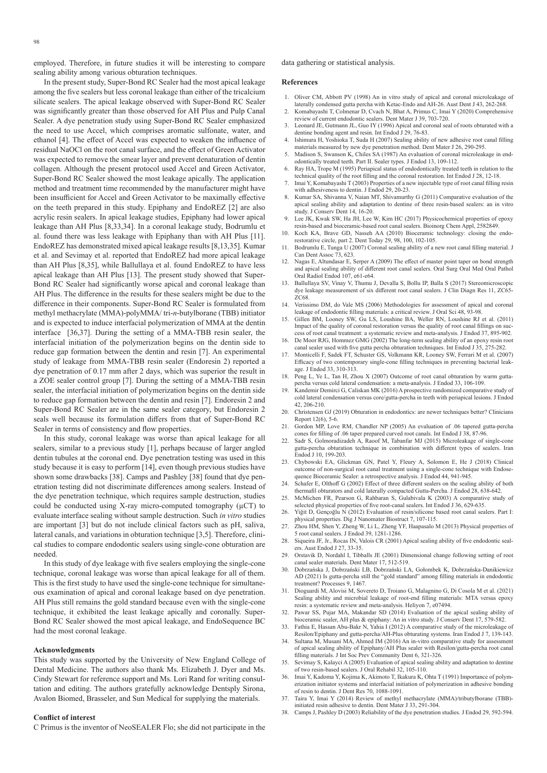employed. Therefore, in future studies it will be interesting to compare sealing ability among various obturation techniques.

In the present study, Super-Bond RC Sealer had the most apical leakage among the five sealers but less coronal leakage than either of the tricalcium silicate sealers. The apical leakage observed with Super-Bond RC Sealer was significantly greater than those observed for AH Plus and Pulp Canal Sealer. A dye penetration study using Super-Bond RC Sealer emphasized the need to use Accel, which comprises aromatic sulfonate, water, and ethanol [4]. The effect of Accel was expected to weaken the influence of residual NaOCl on the root canal surface, and the effect of Green Activator was expected to remove the smear layer and prevent denaturation of dentin collagen. Although the present protocol used Accel and Green Activator, Super-Bond RC Sealer showed the most leakage apically. The application method and treatment time recommended by the manufacturer might have been insufficient for Accel and Green Activator to be maximally effective on the teeth prepared in this study. Epiphany and EndoREZ [2] are also acrylic resin sealers. In apical leakage studies, Epiphany had lower apical leakage than AH Plus [8,33,34]. In a coronal leakage study, Bodrumlu et al. found there was less leakage with Epiphany than with AH Plus [11]. EndoREZ has demonstrated mixed apical leakage results [8,13,35]. Kumar et al. and Sevimay et al. reported that EndoREZ had more apical leakage than AH Plus [8,35], while Ballullaya et al. found EndoREZ to have less apical leakage than AH Plus [13]. The present study showed that Super-Bond RC Sealer had significantly worse apical and coronal leakage than AH Plus. The difference in the results for these sealers might be due to the difference in their components. Super-Bond RC Sealer is formulated from methyl methacrylate (MMA)-polyMMA/ tri-*n*-butylborane (TBB) initiator and is expected to induce interfacial polymerization of MMA at the dentin interface [36,37]. During the setting of a MMA-TBB resin sealer, the interfacial initiation of the polymerization begins on the dentin side to reduce gap formation between the dentin and resin [7]. An experimental study of leakage from MMA-TBB resin sealer (Endoresin 2) reported a dye penetration of 0.17 mm after 2 days, which was superior the result in a ZOE sealer control group [7]. During the setting of a MMA-TBB resin sealer, the interfacial initiation of polymerization begins on the dentin side to reduce gap formation between the dentin and resin [7]. Endoresin 2 and Super-Bond RC Sealer are in the same sealer category, but Endoresin 2 seals well because its formulation differs from that of Super-Bond RC Sealer in terms of consistency and flow properties.

In this study, coronal leakage was worse than apical leakage for all sealers, similar to a previous study [1], perhaps because of larger angled dentin tubules at the coronal end. Dye penetration testing was used in this study because it is easy to perform [14], even though previous studies have shown some drawbacks [38]. Camps and Pashley [38] found that dye penetration testing did not discriminate differences among sealers. Instead of the dye penetration technique, which requires sample destruction, studies could be conducted using X-ray micro-computed tomography  $(\mu$ CT) to evaluate interface sealing without sample destruction. Such *in vitro* studies are important [3] but do not include clinical factors such as pH, saliva, lateral canals, and variations in obturation technique [3,5]. Therefore, clinical studies to compare endodontic sealers using single-cone obturation are needed.

In this study of dye leakage with five sealers employing the single-cone technique, coronal leakage was worse than apical leakage for all of them. This is the first study to have used the single-cone technique for simultaneous examination of apical and coronal leakage based on dye penetration. AH Plus still remains the gold standard because even with the single-cone technique, it exhibited the least leakage apically and coronally. Super-Bond RC Sealer showed the most apical leakage, and EndoSequence BC had the most coronal leakage.

#### **Acknowledgments**

This study was supported by the University of New England College of Dental Medicine. The authors also thank Ms. Elizabeth J. Dyer and Ms. Cindy Stewart for reference support and Ms. Lori Rand for writing consultation and editing. The authors gratefully acknowledge Dentsply Sirona, Avalon Biomed, Brasseler, and Sun Medical for supplying the materials.

#### **Conflict of interest**

C Primus is the inventor of NeoSEALER Flo; she did not participate in the

data gathering or statistical analysis.

#### **References**

- 1. Oliver CM, Abbott PV (1998) An in vitro study of apical and coronal microleakage of laterally condensed gutta percha with Ketac-Endo and AH-26. Aust Dent J 43, 262-268.
- 2. Komabayashi T, Colmenar D, Cvach N, Bhat A, Primus C, Imai Y (2020) Comprehensive review of current endodontic sealers. Dent Mater J 39, 703-720.
- Leonard JE, Gutmann JL, Guo IY (1996) Apical and coronal seal of roots obturated with a dentine bonding agent and resin. Int Endod J 29, 76-83. 4. Ishimura H, Yoshioka T, Suda H (2007) Sealing ability of new adhesive root canal filling
- materials measured by new dye penetration method. Dent Mater J 26, 290-295. 5. Madison S, Swanson K, Chiles SA (1987) An evaluation of coronal microleakage in end-
- odontically treated teeth. Part II. Sealer types. J Endod 13, 109-112. 6. Ray HA, Trope M (1995) Periapical status of endodontically treated teeth in relation to the
- technical quality of the root filling and the coronal restoration. Int Endod J 28, 12-18. 7. Imai Y, Komabayashi T (2003) Properties of a new injectable type of root canal filling resin
- with adhesiveness to dentin. J Endod 29, 20-23. 8. Kumar SA, Shivanna V, Naian MT, Shivamurthy G (2011) Comparative evaluation of the apical sealing ability and adaptation to dentine of three resin-based sealers: an in vitro
- study. J Conserv Dent 14, 16-20. 9. Lee JK, Kwak SW, Ha JH, Lee W, Kim HC (2017) Physicochemical properties of epoxy
- resin-based and bioceramic-based root canal sealers. Bioinorg Chem Appl, 2582849. 10. Koch KA, Brave GD, Nasseh AA (2010) Bioceramic technology: closing the endo-restorative circle, part 2. Dent Today 29, 98, 100, 102-105.
- 11. Bodrumlu E, Tunga U (2007) Coronal sealing ability of a new root canal filling material. J Can Dent Assoc 73, 623.
- 12. Nagas E, Altundasar E, Serper A (2009) The effect of master point taper on bond strength and apical sealing ability of different root canal sealers. Oral Surg Oral Med Oral Pathol Oral Radiol Endod 107, e61-e64.
- 13. Ballullaya SV, Vinay V, Thumu J, Devalla S, Bollu IP, Balla S (2017) Stereomicroscopic dye leakage measurement of six different root canal sealers. J Clin Diagn Res 11, ZC65- ZC68.
- 14. Verissimo DM, do Vale MS (2006) Methodologies for assessment of apical and coronal leakage of endodontic filling materials: a critical review. J Oral Sci 48, 93-98.
- 15. Gillen BM, Looney SW, Gu LS, Loushine BA, Weller RN, Loushine RJ et al. (2011) Impact of the quality of coronal restoration versus the quality of root canal fillings on success of root canal treatment: a systematic review and meta-analysis. J Endod 37, 895-902. 16. De Moor RJG, Hommez GMG (2002) The long-term sealing ability of an epoxy resin root
- canal sealer used with five gutta percha obturation techniques. Int Endod J 35, 275-282. 17. Monticelli F, Sadek FT, Schuster GS, Volkmann KR, Looney SW, Ferrari M et al. (2007)
- Efficacy of two contemporary single-cone filling techniques in preventing bacterial leakage. J Endod 33, 310-313.
- 18. Peng L, Ye L, Tan H, Zhou X (2007) Outcome of root canal obturation by warm guttapercha versus cold lateral condensation: a meta-analysis. J Endod 33, 106-109.
- 19. Kandemir Demirci G, Caliskan MK (2016) A prospective randomized comparative study of cold lateral condensation versus core/gutta-percha in teeth with periapical lesions. J Endod 42, 206-210.
- 20. Christensen GJ (2019) Obturation in endodontics: are newer techniques better? Clinicians Report 12(6), 5-6.
- 21. Gordon MP, Love RM, Chandler NP (2005) An evaluation of .06 tapered gutta-percha cones for filling of .06 taper prepared curved root canals. Int Endod J 38, 87-96.
- 22. Sadr S, Golmoradizadeh A, Raoof M, Tabanfar MJ (2015) Microleakage of single-cone gutta-percha obturation technique in combination with different types of sealers. Iran Endod J 10, 199-203.
- 23. Chybowski EA, Glickman GN, Patel Y, Fleury A, Solomon E, He J (2018) Clinical outcome of non-surgical root canal treatment using a single-cone technique with Endosequence Bioceramic Sealer: a retrospective analysis. J Endod 44, 941-945.
- 24. Schafer E, Olthoff G (2002) Effect of three different sealers on the sealing ability of both
- thermafil obturators and cold laterally compacted Gutta-Percha. J Endod 28, 638-642. 25. McMichen FR, Pearson G, Rahbaran S, Gulabivala K (2003) A comparative study of selected physical properties of five root-canal sealers. Int Endod J 36, 629-635.
- 26. Yiğit D, Gençoğlu N (2012) Evaluation of resin/silicone based root canal sealers. Part I: physical properties. Dig J Nanomater Biostruct 7, 107-115.
- 27. Zhou HM, Shen Y, Zheng W, Li L, Zheng YF, Haapasalo M (2013) Physical properties of 5 root canal sealers. J Endod 39, 1281-1286.
- 28. Siqueira JF, Jr., Rocas IN, Valois CR (2001) Apical sealing ability of five endodontic sealers. Aust Endod J 27, 33-35.
- 29. Orstavik D, Nordahl I, Tibballs JE (2001) Dimensional change following setting of root canal sealer materials. Dent Mater 17, 512-519.
- 30. Dobrzańska J, Dobrzański LB, Dobrzański LA, Gołombek K, Dobrzańska-Danikiewicz AD (2021) Is gutta-percha still the "gold standard" among filling materials in endodontic treatment? Processes 9, 1467.
- 31. Dioguardi M, Alovisi M, Sovereto D, Troiano G, Malagnino G, Di Cosola M et al. (2021) Sealing ability and microbial leakage of root-end filling materials: MTA versus epoxy resin: a systematic review and meta-analysis. Heliyon 7, e07494.
- Pawar SS, Pujar MA, Makandar SD (2014) Evaluation of the apical sealing ability of bioceramic sealer, AH plus & epiphany: An in vitro study. J Conserv Dent 17, 579-582.
- 33. Fathia E, Hassan Abu-Bakr N, Yahia I (2012) A comparative study of the microleakage of Resilon/Epiphany and gutta-percha/AH-Plus obturating systems. Iran Endod J 7, 139-143.
- 34. Sultana M, Musani MA, Ahmed IM (2016) An in-vitro comparative study for assessment of apical sealing ability of Epiphany/AH Plus sealer with Resilon/gutta-percha root canal filling materials. J Int Soc Prev Community Dent 6, 321-326.
- 35. Sevimay S, Kalayci A (2005) Evaluation of apical sealing ability and adaptation to dentine of two resin-based sealers. J Oral Rehabil 32, 105-110.
- 36. Imai Y, Kadoma Y, Kojima K, Akimoto T, Ikakura K, Ohta T (1991) Importance of polymerization initiator systems and interfacial initiation of polymerization in adhesive bonding of resin to dentin. J Dent Res 70, 1088-1091.
- 37. Taira Y, Imai Y (2014) Review of methyl methacrylate (MMA)/tributylborane (TBB) initiated resin adhesive to dentin. Dent Mater J 33, 291-304.
- 38. Camps J, Pashley D (2003) Reliability of the dye penetration studies. J Endod 29, 592-594.